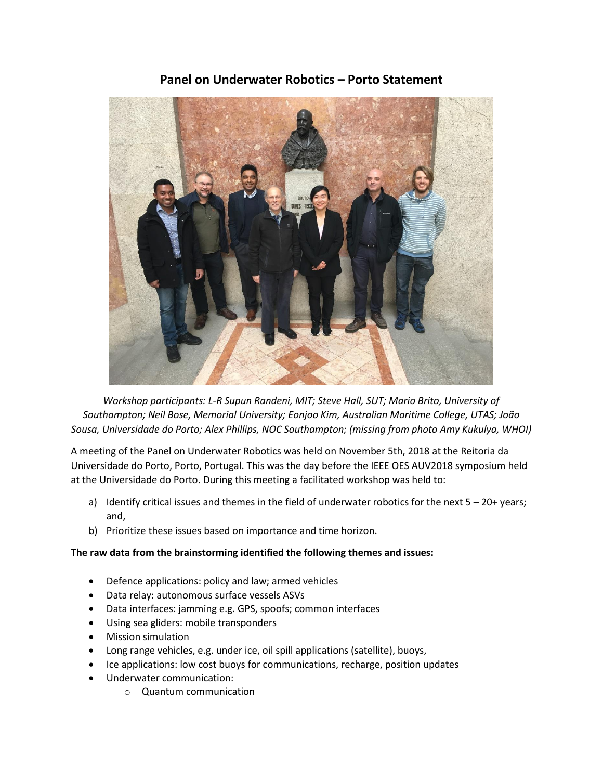# **Panel on Underwater Robotics – Porto Statement**



*Workshop participants: L-R Supun Randeni, MIT; Steve Hall, SUT; Mario Brito, University of Southampton; Neil Bose, Memorial University; Eonjoo Kim, Australian Maritime College, UTAS; João Sousa, Universidade do Porto; Alex Phillips, NOC Southampton; (missing from photo Amy Kukulya, WHOI)*

A meeting of the Panel on Underwater Robotics was held on November 5th, 2018 at the Reitoria da Universidade do Porto, Porto, Portugal. This was the day before the IEEE OES AUV2018 symposium held at the Universidade do Porto. During this meeting a facilitated workshop was held to:

- a) Identify critical issues and themes in the field of underwater robotics for the next  $5 20 +$  years; and,
- b) Prioritize these issues based on importance and time horizon.

### **The raw data from the brainstorming identified the following themes and issues:**

- Defence applications: policy and law; armed vehicles
- Data relay: autonomous surface vessels ASVs
- Data interfaces: jamming e.g. GPS, spoofs; common interfaces
- Using sea gliders: mobile transponders
- Mission simulation
- Long range vehicles, e.g. under ice, oil spill applications (satellite), buoys,
- Ice applications: low cost buoys for communications, recharge, position updates
- Underwater communication:
	- o Quantum communication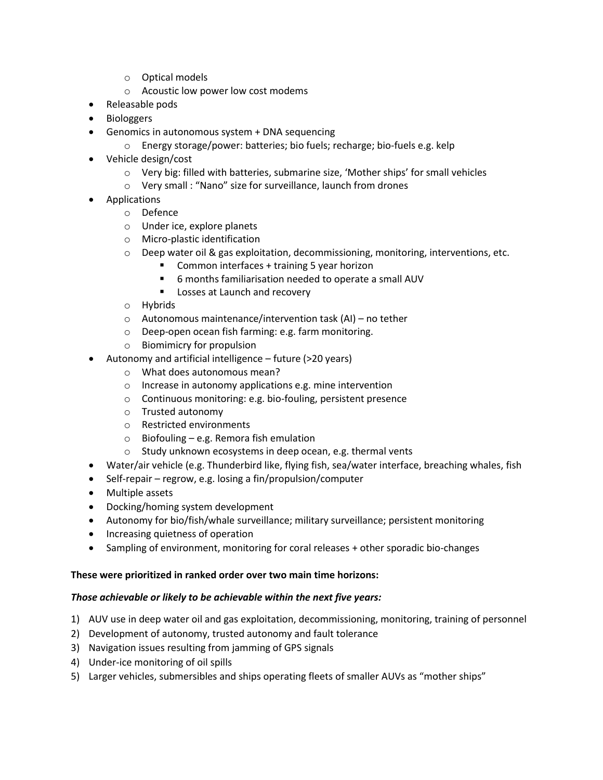- o Optical models
- o Acoustic low power low cost modems
- Releasable pods
- Biologgers
- Genomics in autonomous system + DNA sequencing
	- o Energy storage/power: batteries; bio fuels; recharge; bio-fuels e.g. kelp
- Vehicle design/cost
	- o Very big: filled with batteries, submarine size, 'Mother ships' for small vehicles
	- o Very small : "Nano" size for surveillance, launch from drones
- Applications
	- o Defence
	- o Under ice, explore planets
	- o Micro-plastic identification
	- $\circ$  Deep water oil & gas exploitation, decommissioning, monitoring, interventions, etc.
		- **Common interfaces + training 5 year horizon**
		- 6 months familiarisation needed to operate a small AUV
		- **Losses at Launch and recovery**
	- o Hybrids
	- o Autonomous maintenance/intervention task (AI) no tether
	- o Deep-open ocean fish farming: e.g. farm monitoring.
	- o Biomimicry for propulsion
- Autonomy and artificial intelligence future (>20 years)
	- o What does autonomous mean?
	- o Increase in autonomy applications e.g. mine intervention
	- o Continuous monitoring: e.g. bio-fouling, persistent presence
	- o Trusted autonomy
	- o Restricted environments
	- o Biofouling e.g. Remora fish emulation
	- o Study unknown ecosystems in deep ocean, e.g. thermal vents
- Water/air vehicle (e.g. Thunderbird like, flying fish, sea/water interface, breaching whales, fish
- Self-repair regrow, e.g. losing a fin/propulsion/computer
- Multiple assets
- Docking/homing system development
- Autonomy for bio/fish/whale surveillance; military surveillance; persistent monitoring
- Increasing quietness of operation
- Sampling of environment, monitoring for coral releases + other sporadic bio-changes

### **These were prioritized in ranked order over two main time horizons:**

### *Those achievable or likely to be achievable within the next five years:*

- 1) AUV use in deep water oil and gas exploitation, decommissioning, monitoring, training of personnel
- 2) Development of autonomy, trusted autonomy and fault tolerance
- 3) Navigation issues resulting from jamming of GPS signals
- 4) Under-ice monitoring of oil spills
- 5) Larger vehicles, submersibles and ships operating fleets of smaller AUVs as "mother ships"